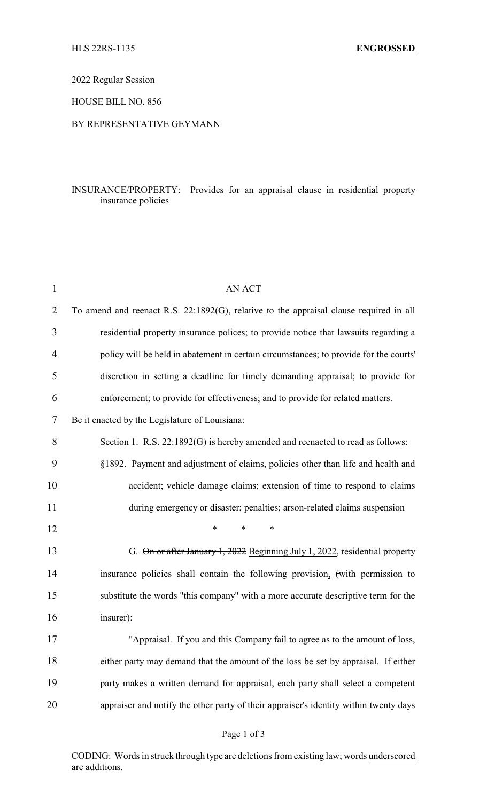2022 Regular Session

HOUSE BILL NO. 856

## BY REPRESENTATIVE GEYMANN

## INSURANCE/PROPERTY: Provides for an appraisal clause in residential property insurance policies

| 1              | <b>AN ACT</b>                                                                          |
|----------------|----------------------------------------------------------------------------------------|
| $\overline{2}$ | To amend and reenact R.S. 22:1892(G), relative to the appraisal clause required in all |
| 3              | residential property insurance polices; to provide notice that lawsuits regarding a    |
| 4              | policy will be held in abatement in certain circumstances; to provide for the courts'  |
| 5              | discretion in setting a deadline for timely demanding appraisal; to provide for        |
| 6              | enforcement; to provide for effectiveness; and to provide for related matters.         |
| 7              | Be it enacted by the Legislature of Louisiana:                                         |
| 8              | Section 1. R.S. 22:1892(G) is hereby amended and reenacted to read as follows:         |
| 9              | §1892. Payment and adjustment of claims, policies other than life and health and       |
| 10             | accident; vehicle damage claims; extension of time to respond to claims                |
| 11             | during emergency or disaster; penalties; arson-related claims suspension               |
| 12             | $\ast$<br>*<br>*                                                                       |
| 13             | G. On or after January 1, 2022 Beginning July 1, 2022, residential property            |
| 14             | insurance policies shall contain the following provision, (with permission to          |
| 15             | substitute the words "this company" with a more accurate descriptive term for the      |
| 16             | insurer):                                                                              |
| 17             | "Appraisal. If you and this Company fail to agree as to the amount of loss,            |
| 18             | either party may demand that the amount of the loss be set by appraisal. If either     |
| 19             | party makes a written demand for appraisal, each party shall select a competent        |
| 20             | appraiser and notify the other party of their appraiser's identity within twenty days  |
|                |                                                                                        |

CODING: Words in struck through type are deletions from existing law; words underscored are additions.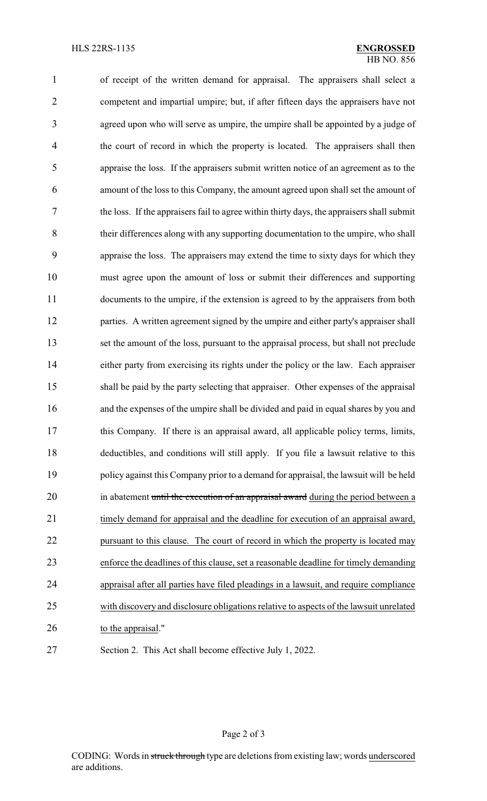of receipt of the written demand for appraisal. The appraisers shall select a competent and impartial umpire; but, if after fifteen days the appraisers have not agreed upon who will serve as umpire, the umpire shall be appointed by a judge of 4 the court of record in which the property is located. The appraisers shall then appraise the loss. If the appraisers submit written notice of an agreement as to the amount of the loss to this Company, the amount agreed upon shall set the amount of the loss. If the appraisers fail to agree within thirty days, the appraisers shall submit their differences along with any supporting documentation to the umpire, who shall appraise the loss. The appraisers may extend the time to sixty days for which they must agree upon the amount of loss or submit their differences and supporting documents to the umpire, if the extension is agreed to by the appraisers from both 12 parties. A written agreement signed by the umpire and either party's appraiser shall set the amount of the loss, pursuant to the appraisal process, but shall not preclude 14 either party from exercising its rights under the policy or the law. Each appraiser shall be paid by the party selecting that appraiser. Other expenses of the appraisal and the expenses of the umpire shall be divided and paid in equal shares by you and this Company. If there is an appraisal award, all applicable policy terms, limits, deductibles, and conditions will still apply. If you file a lawsuit relative to this policy against this Company prior to a demand for appraisal, the lawsuit will be held 20 in abatement until the execution of an appraisal award during the period between a timely demand for appraisal and the deadline for execution of an appraisal award, pursuant to this clause. The court of record in which the property is located may enforce the deadlines of this clause, set a reasonable deadline for timely demanding appraisal after all parties have filed pleadings in a lawsuit, and require compliance with discovery and disclosure obligations relative to aspects of the lawsuit unrelated to the appraisal." Section 2. This Act shall become effective July 1, 2022.